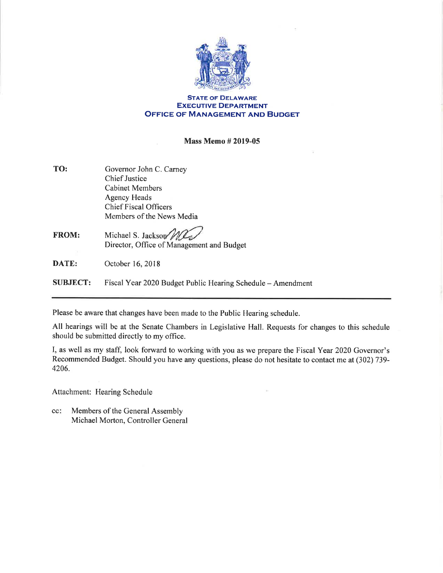

## STATE oF DELAWARE EXECUTIVE DEPARTMENT OFFICE oF MANAGEMENT AND BUDGET

## Mass Memo # 2019-05

| TO: | Governor John C. Carney      |
|-----|------------------------------|
|     | <b>Chief Justice</b>         |
|     | <b>Cabinet Members</b>       |
|     | <b>Agency Heads</b>          |
|     | <b>Chief Fiscal Officers</b> |
|     | Members of the News Media    |

## FROM: Michael S. Jackson Director, Office of Management and Budget

DATE: October 16, 2018

SUBJECT: Fiscal Year 2020 Budget Public Hearing Schedule - Amendment

Please be aware that changes have been made to the Public Hearing schedule.

All hearings will be at the Senate Chambers in Legislative Hall. Requests for changes to this schedule should be submitted directly to my office.

I, as well as my staff, look forward to working with you as we prepare the Fiscal Year 2020 Governor's Recommended Budget. Should you have any questions, please do not hesitate to contact me at (302) 739- 4206.

Attachment: Hearing Schedule

Members of the General Assembly Michael Morton, Controller General cc: